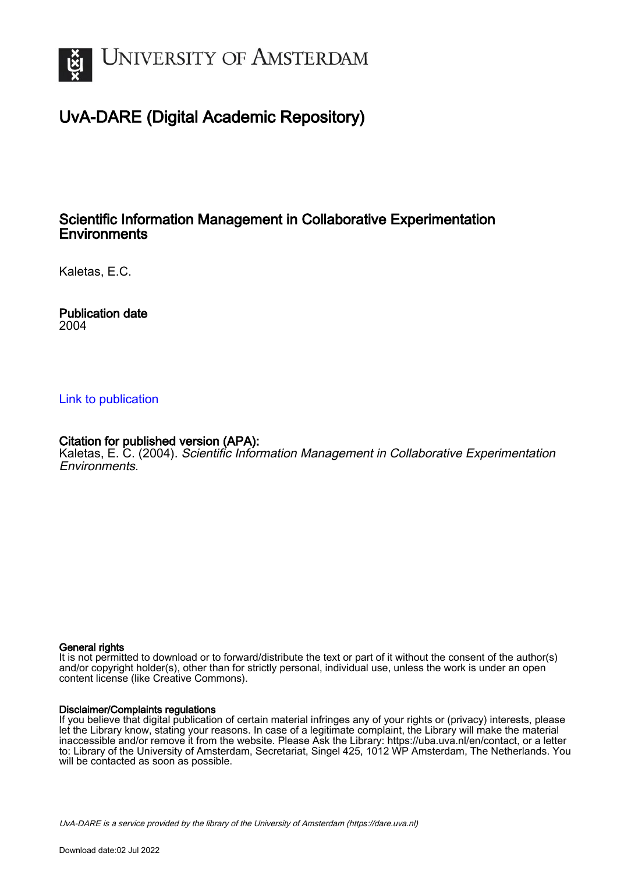

## UvA-DARE (Digital Academic Repository)

## Scientific Information Management in Collaborative Experimentation **Environments**

Kaletas, E.C.

Publication date 2004

### [Link to publication](https://dare.uva.nl/personal/pure/en/publications/scientific-information-management-in-collaborative-experimentation-environments(661104be-e55a-4373-8882-7fdaffcf2406).html)

## Citation for published version (APA):

Kaletas, E. C. (2004). Scientific Information Management in Collaborative Experimentation Environments.

#### General rights

It is not permitted to download or to forward/distribute the text or part of it without the consent of the author(s) and/or copyright holder(s), other than for strictly personal, individual use, unless the work is under an open content license (like Creative Commons).

#### Disclaimer/Complaints regulations

If you believe that digital publication of certain material infringes any of your rights or (privacy) interests, please let the Library know, stating your reasons. In case of a legitimate complaint, the Library will make the material inaccessible and/or remove it from the website. Please Ask the Library: https://uba.uva.nl/en/contact, or a letter to: Library of the University of Amsterdam, Secretariat, Singel 425, 1012 WP Amsterdam, The Netherlands. You will be contacted as soon as possible.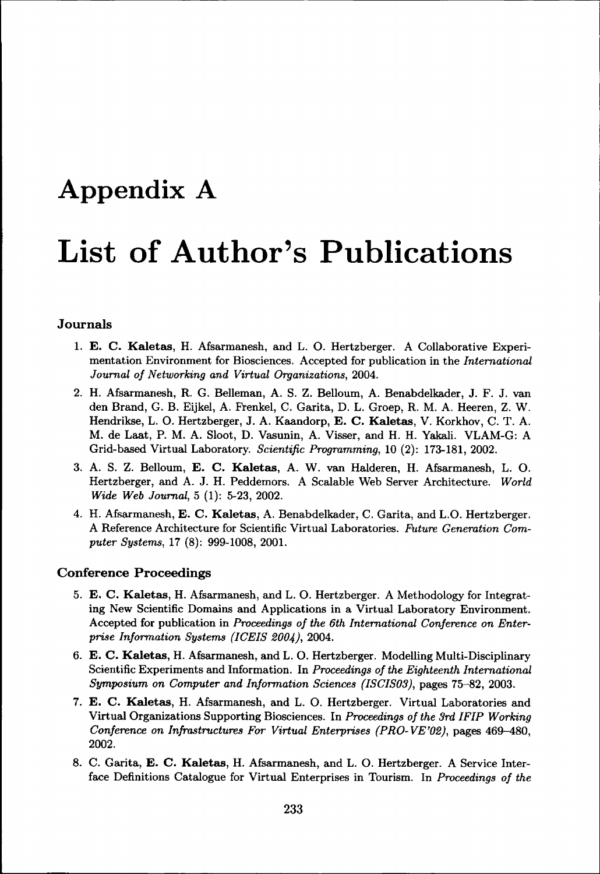# Appendix A List of Author's Publications

#### **Journals s**

- **1.. E. C. Kaletas,** H. Afsarmanesh, and L. O. Hertzberger. A Collaborative Experimentation Environment for Biosciences. Accepted for publication in the *International Journal of Networking and Virtual Organizations, 2004.*
- 2.. H. Afsarmanesh, R. G. Belleman, A. S. Z. Belloum, A. Benabdelkader, J. F. J. van den Brand, G. B. Eijkel, A. Frenkel, C. Garita, D. L. Groep, R. M. A. Heeren, Z. W. Hendrikse,, L. O. Hertzberger, J. A. Kaandorp, **E. C. Kaletas,** V. Korkhov, C. T. A. M.. de Laat, P. M. A. Sloot, D. Vasunin, A. Visser, and H. H. Yakali. VLAM-G: A Grid-basedd Virtual Laboratory. *Scientific Programming,* 10 (2): 173-181, 2002.
- 3.. A. S. Z. Belloum, **E. C. Kaletas,** A. W. van Halderen, H. Afsarmanesh, L. O. Hertzberger,, and A. J. H. Peddemors. A Scalable Web Server Architecture. *World WideWide Web Journal,* 5 (1): 5-23, 2002.
- 4.. H. Afsarmanesh, E. C. **Kaletas,** A. Benabdelkader, C. Garita, and L.O. Hertzberger. AA Reference Architecture for Scientific Virtual Laboratories. *Future Generation Computer Systems,* 17 (8): 999-1008, 2001.

#### **Conference Proceedings**

- 5.. **E. C. Kaletas, H.** Afsarmanesh, and L. O. Hertzberger. A Methodology for Integrating New Scientific Domains and Applications in a Virtual Laboratory Environment. Accepted for publication in *Proceedings of the 6th International Conference on Enterprise Information Systems (ICEIS 2004),* 2004.
- 6.. **E. C. Kaletas,** H. Afsarmanesh, and L. O. Hertzberger. Modelling Multi-Disciplinary Scientific Experiments and Information. In Proceedings of the Eighteenth International *Symposium on Computer and Information Sciences (ISCIS03)*, pages 75-82, 2003.
- 7.. **E. C. Kaletas,** H. Afsarmanesh, and L. O. Hertzberger. Virtual Laboratories and Virtuall Organizations Supporting Biosciences. In *Proceedings of the 3rd IFIP Working Conference on Infrastructures For Virtual Enterprises (PRO-VE'02),* pages 469-480, 2002. .
- 8.. C. Garita, **E. C. Kaletas, H.** Afsarmanesh, and L. O. Hertzberger. A Service Interface Definitions Catalogue for Virtual Enterprises in Tourism. In *Proceedings of the*